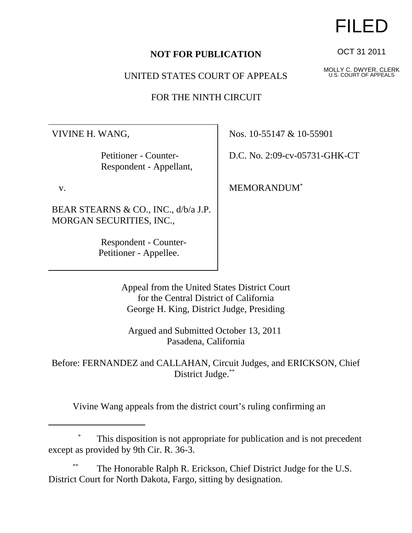UNITED STATES COURT OF APPEALS

FOR THE NINTH CIRCUIT

VIVINE H. WANG,

 Petitioner - Counter- Respondent - Appellant,

v.

BEAR STEARNS & CO., INC., d/b/a J.P. MORGAN SECURITIES, INC.,

> Respondent - Counter- Petitioner - Appellee.

Nos. 10-55147 & 10-55901

D.C. No. 2:09-cv-05731-GHK-CT

MEMORANDUM\*

Appeal from the United States District Court for the Central District of California George H. King, District Judge, Presiding

Argued and Submitted October 13, 2011 Pasadena, California

Before: FERNANDEZ and CALLAHAN, Circuit Judges, and ERICKSON, Chief District Judge.\*\*

Vivine Wang appeals from the district court's ruling confirming an

## This disposition is not appropriate for publication and is not precedent except as provided by 9th Cir. R. 36-3.

The Honorable Ralph R. Erickson, Chief District Judge for the U.S. District Court for North Dakota, Fargo, sitting by designation.

## FILED

OCT 31 2011

MOLLY C. DWYER, CLERK U.S. COURT OF APPEALS

**NOT FOR PUBLICATION**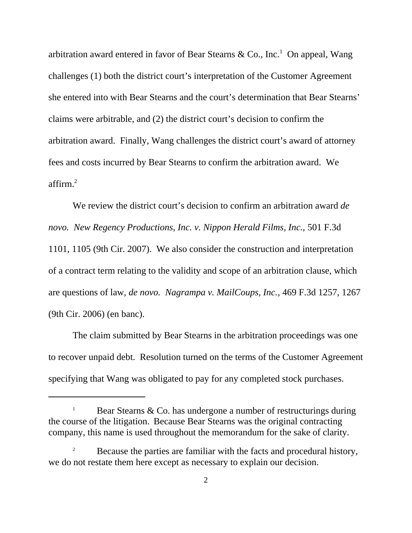arbitration award entered in favor of Bear Stearns & Co., Inc.<sup>1</sup> On appeal, Wang challenges (1) both the district court's interpretation of the Customer Agreement she entered into with Bear Stearns and the court's determination that Bear Stearns' claims were arbitrable, and (2) the district court's decision to confirm the arbitration award. Finally, Wang challenges the district court's award of attorney fees and costs incurred by Bear Stearns to confirm the arbitration award. We affirm.2

We review the district court's decision to confirm an arbitration award *de novo. New Regency Productions, Inc. v. Nippon Herald Films, Inc.,* 501 F.3d 1101, 1105 (9th Cir. 2007). We also consider the construction and interpretation of a contract term relating to the validity and scope of an arbitration clause, which are questions of law, *de novo. Nagrampa v. MailCoups, Inc.*, 469 F.3d 1257, 1267 (9th Cir. 2006) (en banc).

The claim submitted by Bear Stearns in the arbitration proceedings was one to recover unpaid debt. Resolution turned on the terms of the Customer Agreement specifying that Wang was obligated to pay for any completed stock purchases.

<sup>1</sup> Bear Stearns & Co. has undergone a number of restructurings during the course of the litigation. Because Bear Stearns was the original contracting company, this name is used throughout the memorandum for the sake of clarity.

<sup>2</sup> Because the parties are familiar with the facts and procedural history, we do not restate them here except as necessary to explain our decision.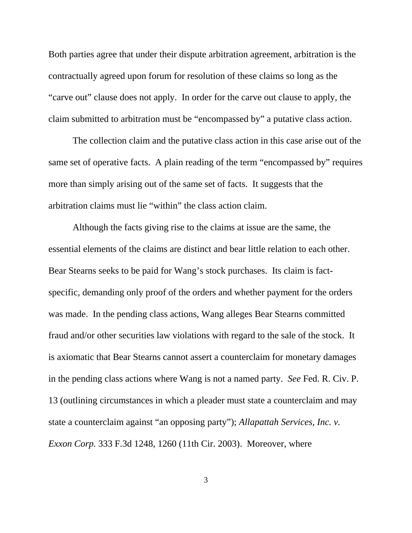Both parties agree that under their dispute arbitration agreement, arbitration is the contractually agreed upon forum for resolution of these claims so long as the "carve out" clause does not apply. In order for the carve out clause to apply, the claim submitted to arbitration must be "encompassed by" a putative class action.

The collection claim and the putative class action in this case arise out of the same set of operative facts. A plain reading of the term "encompassed by" requires more than simply arising out of the same set of facts. It suggests that the arbitration claims must lie "within" the class action claim.

Although the facts giving rise to the claims at issue are the same, the essential elements of the claims are distinct and bear little relation to each other. Bear Stearns seeks to be paid for Wang's stock purchases. Its claim is factspecific, demanding only proof of the orders and whether payment for the orders was made. In the pending class actions, Wang alleges Bear Stearns committed fraud and/or other securities law violations with regard to the sale of the stock. It is axiomatic that Bear Stearns cannot assert a counterclaim for monetary damages in the pending class actions where Wang is not a named party. *See* Fed. R. Civ. P. 13 (outlining circumstances in which a pleader must state a counterclaim and may state a counterclaim against "an opposing party"); *Allapattah Services, Inc. v. Exxon Corp.* 333 F.3d 1248, 1260 (11th Cir. 2003). Moreover, where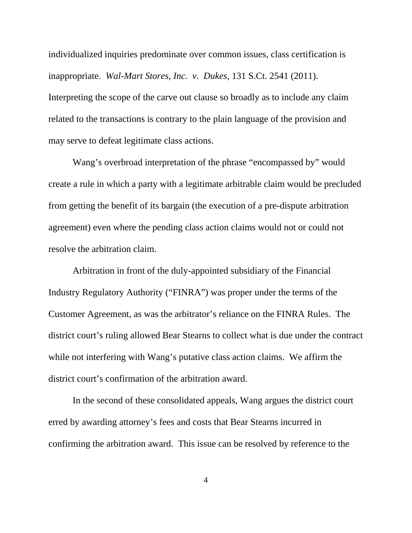individualized inquiries predominate over common issues, class certification is inappropriate. *Wal-Mart Stores, Inc. v. Dukes*, 131 S.Ct. 2541 (2011). Interpreting the scope of the carve out clause so broadly as to include any claim related to the transactions is contrary to the plain language of the provision and may serve to defeat legitimate class actions.

Wang's overbroad interpretation of the phrase "encompassed by" would create a rule in which a party with a legitimate arbitrable claim would be precluded from getting the benefit of its bargain (the execution of a pre-dispute arbitration agreement) even where the pending class action claims would not or could not resolve the arbitration claim.

Arbitration in front of the duly-appointed subsidiary of the Financial Industry Regulatory Authority ("FINRA") was proper under the terms of the Customer Agreement, as was the arbitrator's reliance on the FINRA Rules. The district court's ruling allowed Bear Stearns to collect what is due under the contract while not interfering with Wang's putative class action claims. We affirm the district court's confirmation of the arbitration award.

In the second of these consolidated appeals, Wang argues the district court erred by awarding attorney's fees and costs that Bear Stearns incurred in confirming the arbitration award. This issue can be resolved by reference to the

4